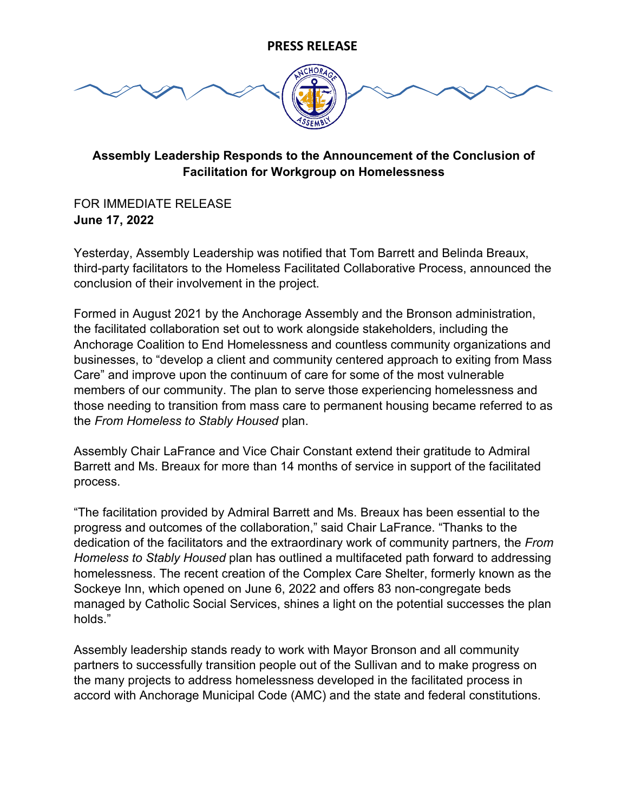## **PRESS RELEASE**



## **Assembly Leadership Responds to the Announcement of the Conclusion of Facilitation for Workgroup on Homelessness**

FOR IMMEDIATE RELEASE **June 17, 2022**

Yesterday, Assembly Leadership was notified that Tom Barrett and Belinda Breaux, third-party facilitators to the Homeless Facilitated Collaborative Process, announced the conclusion of their involvement in the project.

Formed in August 2021 by the Anchorage Assembly and the Bronson administration, the facilitated collaboration set out to work alongside stakeholders, including the Anchorage Coalition to End Homelessness and countless community organizations and businesses, to "develop a client and community centered approach to exiting from Mass Care" and improve upon the continuum of care for some of the most vulnerable members of our community. The plan to serve those experiencing homelessness and those needing to transition from mass care to permanent housing became referred to as the *From Homeless to Stably Housed* plan.

Assembly Chair LaFrance and Vice Chair Constant extend their gratitude to Admiral Barrett and Ms. Breaux for more than 14 months of service in support of the facilitated process.

"The facilitation provided by Admiral Barrett and Ms. Breaux has been essential to the progress and outcomes of the collaboration," said Chair LaFrance. "Thanks to the dedication of the facilitators and the extraordinary work of community partners, the *From Homeless to Stably Housed* plan has outlined a multifaceted path forward to addressing homelessness. The recent creation of the Complex Care Shelter, formerly known as the Sockeye Inn, which opened on June 6, 2022 and offers 83 non-congregate beds managed by Catholic Social Services, shines a light on the potential successes the plan holds."

Assembly leadership stands ready to work with Mayor Bronson and all community partners to successfully transition people out of the Sullivan and to make progress on the many projects to address homelessness developed in the facilitated process in accord with Anchorage Municipal Code (AMC) and the state and federal constitutions.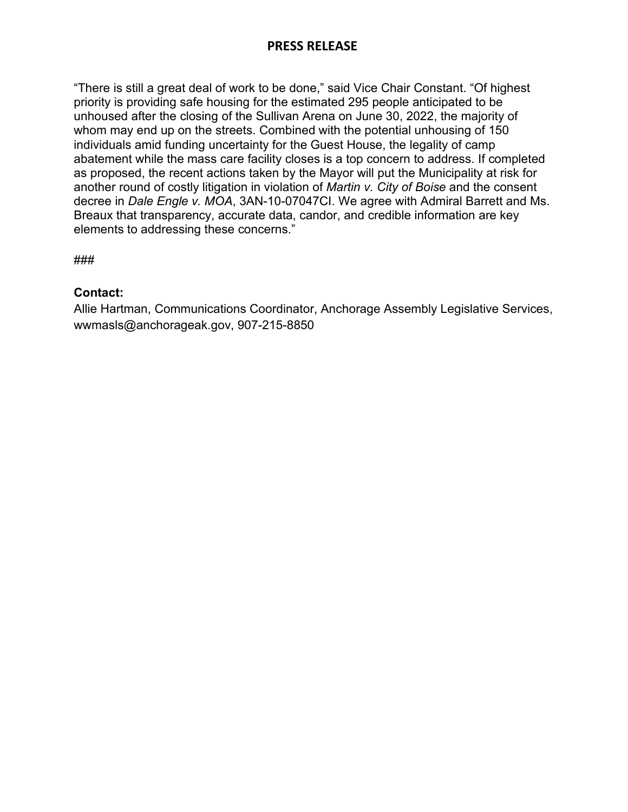## **PRESS RELEASE**

"There is still a great deal of work to be done," said Vice Chair Constant. "Of highest priority is providing safe housing for the estimated 295 people anticipated to be unhoused after the closing of the Sullivan Arena on June 30, 2022, the majority of whom may end up on the streets. Combined with the potential unhousing of 150 individuals amid funding uncertainty for the Guest House, the legality of camp abatement while the mass care facility closes is a top concern to address. If completed as proposed, the recent actions taken by the Mayor will put the Municipality at risk for another round of costly litigation in violation of *Martin v. City of Boise* and the consent decree in *Dale Engle v. MOA*, 3AN-10-07047CI. We agree with Admiral Barrett and Ms. Breaux that transparency, accurate data, candor, and credible information are key elements to addressing these concerns."

###

## **Contact:**

Allie Hartman, Communications Coordinator, Anchorage Assembly Legislative Services, wwmasls@anchorageak.gov, 907-215-8850